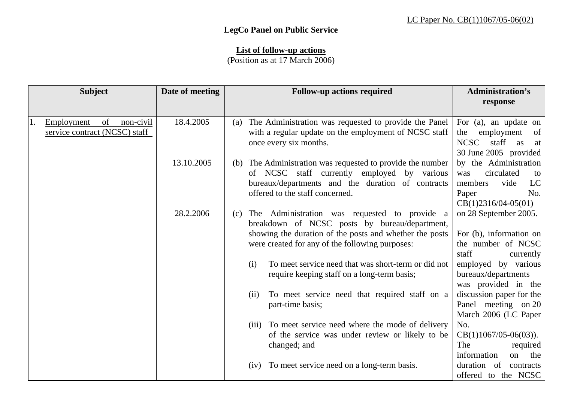## **LegCo Panel on Public Service**

## **List of follow-up actions**

(Position as at 17 March 2006)

| <b>Subject</b>                                                       | Date of meeting  | <b>Follow-up actions required</b>                                                                                                                                                                            | <b>Administration's</b><br>response                                                                                |
|----------------------------------------------------------------------|------------------|--------------------------------------------------------------------------------------------------------------------------------------------------------------------------------------------------------------|--------------------------------------------------------------------------------------------------------------------|
| of<br>non-civil<br>Employment<br>1.<br>service contract (NCSC) staff | 18.4.2005        | The Administration was requested to provide the Panel<br>(a)<br>with a regular update on the employment of NCSC staff<br>once every six months.                                                              | For (a), an update on<br>employment<br>of<br>the<br><b>NCSC</b><br>staff<br>as<br>at<br>30 June 2005 provided      |
|                                                                      | 13.10.2005       | The Administration was requested to provide the number<br>(b)<br>of NCSC staff currently employed by various<br>bureaux/departments and the duration of contracts<br>offered to the staff concerned.         | by the Administration<br>circulated<br>was<br>to<br>vide<br>LC<br>members<br>No.<br>Paper<br>$CB(1)2316/04-05(01)$ |
|                                                                      | 28.2.2006<br>(c) | The Administration was requested to provide a<br>breakdown of NCSC posts by bureau/department,<br>showing the duration of the posts and whether the posts<br>were created for any of the following purposes: | on 28 September 2005.<br>For (b), information on<br>the number of NCSC<br>staff<br>currently                       |
|                                                                      |                  | To meet service need that was short-term or did not<br>(i)<br>require keeping staff on a long-term basis;                                                                                                    | employed by various<br>bureaux/departments<br>was provided in the                                                  |
|                                                                      |                  | To meet service need that required staff on a<br>(ii)<br>part-time basis;                                                                                                                                    | discussion paper for the<br>Panel meeting on 20<br>March 2006 (LC Paper                                            |
|                                                                      |                  | To meet service need where the mode of delivery<br>(iii)<br>of the service was under review or likely to be<br>changed; and                                                                                  | No.<br>$CB(1)1067/05-06(03)).$<br>The<br>required<br>information<br>the<br>on                                      |
|                                                                      |                  | To meet service need on a long-term basis.<br>(iv)                                                                                                                                                           | duration of<br>contracts<br>offered to the NCSC                                                                    |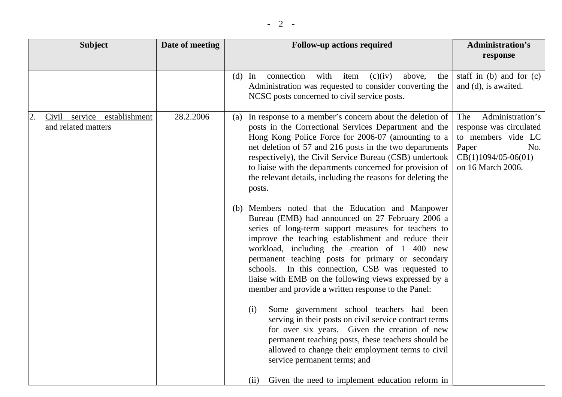| <b>Subject</b>                                           | Date of meeting | <b>Follow-up actions required</b>                                                                                                                                                                                                                                                                                                                                                                                                                                                                                                                                                                                                                                                                                                                                                                                                                                                                                                                                                                                                                                                                                                                                                                                                                                 | <b>Administration's</b>                                                                                                                |
|----------------------------------------------------------|-----------------|-------------------------------------------------------------------------------------------------------------------------------------------------------------------------------------------------------------------------------------------------------------------------------------------------------------------------------------------------------------------------------------------------------------------------------------------------------------------------------------------------------------------------------------------------------------------------------------------------------------------------------------------------------------------------------------------------------------------------------------------------------------------------------------------------------------------------------------------------------------------------------------------------------------------------------------------------------------------------------------------------------------------------------------------------------------------------------------------------------------------------------------------------------------------------------------------------------------------------------------------------------------------|----------------------------------------------------------------------------------------------------------------------------------------|
|                                                          |                 |                                                                                                                                                                                                                                                                                                                                                                                                                                                                                                                                                                                                                                                                                                                                                                                                                                                                                                                                                                                                                                                                                                                                                                                                                                                                   | response                                                                                                                               |
|                                                          |                 | connection<br>with<br>$(d)$ In<br>item<br>(c)(iv)<br>above,<br>the<br>Administration was requested to consider converting the<br>NCSC posts concerned to civil service posts.                                                                                                                                                                                                                                                                                                                                                                                                                                                                                                                                                                                                                                                                                                                                                                                                                                                                                                                                                                                                                                                                                     | staff in $(b)$ and for $(c)$<br>and (d), is awaited.                                                                                   |
| Civil service establishment<br>2.<br>and related matters | 28.2.2006       | In response to a member's concern about the deletion of<br>(a)<br>posts in the Correctional Services Department and the<br>Hong Kong Police Force for 2006-07 (amounting to a<br>net deletion of 57 and 216 posts in the two departments<br>respectively), the Civil Service Bureau (CSB) undertook<br>to liaise with the departments concerned for provision of<br>the relevant details, including the reasons for deleting the<br>posts.<br>Members noted that the Education and Manpower<br>(b)<br>Bureau (EMB) had announced on 27 February 2006 a<br>series of long-term support measures for teachers to<br>improve the teaching establishment and reduce their<br>workload, including the creation of 1 400 new<br>permanent teaching posts for primary or secondary<br>schools. In this connection, CSB was requested to<br>liaise with EMB on the following views expressed by a<br>member and provide a written response to the Panel:<br>Some government school teachers had been<br>(i)<br>serving in their posts on civil service contract terms<br>for over six years. Given the creation of new<br>permanent teaching posts, these teachers should be<br>allowed to change their employment terms to civil<br>service permanent terms; and<br>(ii) | Administration's<br>The<br>response was circulated<br>to members vide LC<br>Paper<br>No.<br>$CB(1)1094/05-06(01)$<br>on 16 March 2006. |
|                                                          |                 | Given the need to implement education reform in                                                                                                                                                                                                                                                                                                                                                                                                                                                                                                                                                                                                                                                                                                                                                                                                                                                                                                                                                                                                                                                                                                                                                                                                                   |                                                                                                                                        |